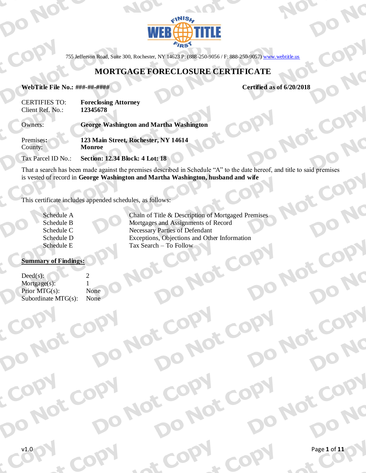

755 Jefferson Road, Suite 300, Rochester, NY 14623 P: (888-250-9056 / F: 888-250-9057) www.webtitle.us

# **MORTGAGE FORECLOSURE CERTIFICATE**

#### WebTitle File No.: ###-##-####

Certified as of 6/20/2018

| <b>CERTIFIES TO:</b> | <b>Foreclosing Attorney</b> |
|----------------------|-----------------------------|
| Client Ref. No.:     | 12345678                    |

Owners: **George Washington and Martha Washington** 123 Main Street, Rochester, NY 14614 Premises: County: Monroe

Tax Parcel ID No.: **Section: 12.34 Block: 4 Lot: 18** 

That a search has been made against the premises described in Schedule "A" to the date hereof, and title to said premises is vested of record in George Washington and Martha Washington, husband and wife

This certificate includes appended schedules, as follows:

| Schedule A |
|------------|
| Schedule B |
| Schedule C |
| Schedule D |
| Schedule E |

Chain of Title & Description of Mortgaged Premises Mortgages and Assignments of Record **Necessary Parties of Defendant** Exceptions, Objections and Other Information Tax Search - To Follow

Jot

### **Summary of Findings:**

| $Dead(s)$ :            | $\mathcal{L}$ |
|------------------------|---------------|
| Mortgage(s):           |               |
| Prior $MTG(s)$ :       | None          |
| Subordinate $MTG(s)$ : | None          |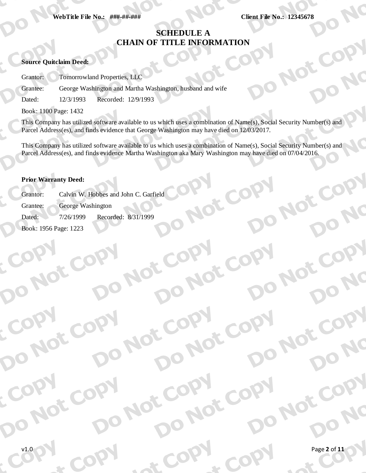**Client File No.: 12345678** 

NO

Jor

# **SCHEDULE A CHAIN OF TITLE INFORMATION**

## **Source Quitclaim Deed:**

**Tomorrowland Properties, LLC** Grantor:

George Washington and Martha Washington, husband and wife Grantee:

Dated: 12/3/1993 Recorded: 12/9/1993

Book: 1100 Page: 1432

This Company has utilized software available to us which uses a combination of Name(s), Social Security Number(s) and Parcel Address(es), and finds evidence that George Washington may have died on 12/03/2017.

This Company has utilized software available to us which uses a combination of Name(s), Social Security Number(s) and Parcel Address(es), and finds evidence Martha Washington aka Mary Washington may have died on 07/04/2016.

Jot

**IOT CO** 

JOT

Not

### **Prior Warranty Deed:**

Calvin W. Hobbes and John C. Garfield Grantor: Grantee: George Washington Recorded: 8/31/1999 7/26/1999 Dated: Book: 1956 Page: 1223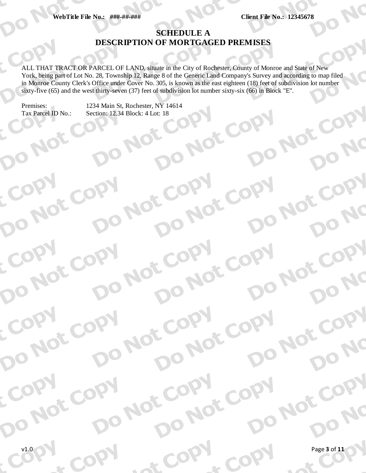**Client File No.: 12345678** 

JO NOT COPY

JO NOT COPY

JO NOT COPY

O

 $\overline{\mathbf{O}}$ 

CODV

**ONC** 

NC

Not Copy

Do NC

NC

# **SCHEDULE A DESCRIPTION OF MORTGAGED PREMISES**

ALL THAT TRACT OR PARCEL OF LAND, situate in the City of Rochester, County of Monroe and State of New York, being part of Lot No. 28, Township 12, Range 8 of the Generic Land Company's Survey and according to map filed in Monroe County Clerk's Office under Cover No. 305, is known as the east eighteen (18) feet of subdivision lot number sixty-five  $(65)$  and the west thirty-seven  $(37)$  feet of subdivision lot number sixty-six  $(66)$  in Block "E".

Premises: Tax Parcel ID No.:

NO

NOT COP

NOT COPY

NOT COPY

NOT COP

 $\mathbf{C}$ 

DO

D

DO

 $\mathcal{L}_{\mathcal{L}}$ 

DO

DO

COPY

COPY

LOON

1234 Main St, Rochester, NY 14614 COPY DO NOT COP Section: 12.34 Block: 4 Lot: 18

O

Not

Not CODY

JO NOT COPY

Not CODY

Not

 $\sim$ 

**OC** 

COPY

CODV

COP

JO NOT COPY

NOT COPY

Not COPY

NOT COP

Not

**O** 

COPY

COPY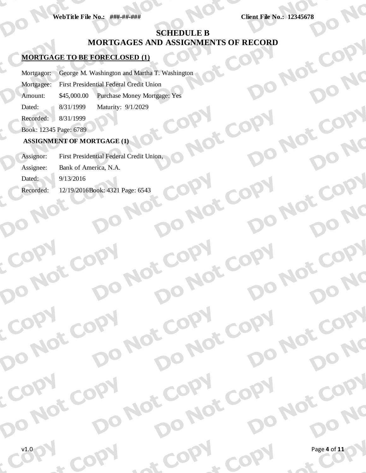**Client File No.: 12345678** 

**DO NOT** 

DO NOT

JO NOT COPY

JO NOT COPY

**JO NOt** 

NC

DO NC

CODV

Do NC

CODV

DO NC

JO NC

DO NC

CODV

10 AC

**R** 

# **SCHEDULE B** JO NOT COPY MORTGAGES AND ASSIGNMENTS OF RECORD

COPY

JO NOT COPY

JO NOT COPY

JO NOT

 $\sim$ 

NOT COP

DO NOT COPY

DO NOT COPY

DO NOT COP

L CODY

COPY

CODY

## **MORTGAGE TO BE FORECLOSED (1)**

George M. Washington and Martha T. Washington Mortgagor:

First Presidential Federal Credit Union Mortgagee:

Amount: \$45,000.00 **Purchase Money Mortgage: Yes** 

Dated: 8/31/1999 Maturity: 9/1/2029

 $8/31/1999$ Recorded:

Book: 12345 Page: 6789

## **ASSIGNMENT OF MORTGAGE (1)**

NOT COPY

DO NOT COPY

DO NOT COP

COPY

First Presidential Federal Credit Union, Assignor: Assignee: Bank of America, N.A. NOT COPY DO NOT COPY

 $9/13/2016$ Dated:

Recorded: 12/19/2016Book: 4321 Page: 6543

COPY

COPY

COPY

DO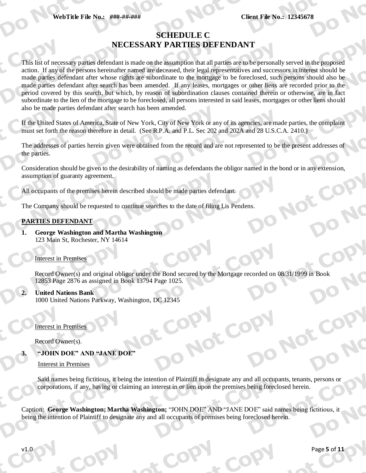# **SCHEDULE C** NECESSARY PARTIES DEFENDANT

This list of necessary parties defendant is made on the assumption that all parties are to be personally served in the proposed action. If any of the persons hereinafter named are deceased, their legal representatives and successors in interest should be made parties defendant after whose rights are subordinate to the mortgage to be foreclosed, such persons should also be made parties defendant after search has been amended. If any leases, mortgages or other liens are recorded prior to the period covered by this search, but which, by reason of subordination clauses contained therein or otherwise, are in fact subordinate to the lien of the mortgage to be foreclosed, all persons interested in said leases, mortgages or other liens should also be made parties defendant after search has been amended.

If the United States of America, State of New York, City of New York or any of its agencies, are made parties, the complaint must set forth the reason therefore in detail. (See R.P.A. and P.L. Sec 202 and 202A and 28 U.S.C.A. 2410.)

The addresses of parties herein given were obtained from the record and are not represented to be the present addresses of the parties.

Consideration should be given to the desirability of naming as defendants the obligor named in the bond or in any extension, assumption of guaranty agreement.

All occupants of the premises herein described should be made parties defendant.

The Company should be requested to continue searches to the date of filing Lis Pendens.

## PARTIES DEFENDANT

**George Washington and Martha Washington**  $\mathbf{1}$ 123 Main St, Rochester, NY 14614

## **Interest in Premises**

Record Owner(s) and original obligor under the Bond secured by the Mortgage recorded on 08/31/1999 in Book 12853 Page 2876 as assigned in Book 13794 Page 1025.

 $\overline{2}$ . **United Nations Bank** 

1000 United Nations Parkway, Washington, DC 12345

**Interest in Premises** 

Record Owner(s).

"JOHN DOE" AND "JANE DOE"

**Interest in Premises** 

Said names being fictitious, it being the intention of Plaintiff to designate any and all occupants, tenants, persons or corporations, if any, having or claiming an interest in or lien upon the premises being foreclosed herein.

Caption: George Washington; Martha Washington; "JOHN DOE" AND "JANE DOE" said names being fictitious, it being the intention of Plaintiff to designate any and all occupants of premises being foreclosed herein.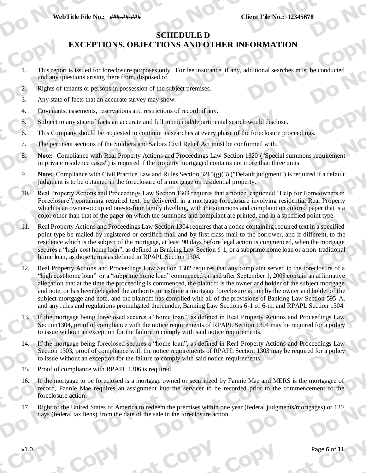**Client File No.: 12345678** 

# **SCHEDULE D**

# **EXCEPTIONS, OBJECTIONS AND OTHER INFORMATION**

- This report is issued for foreclosure purposes only. For fee insurance, if any, additional searches must be conducted  $\mathbf{1}$ and any questions arising there from, disposed of.
- Rights of tenants or persons in possession of the subject premises.  $2.$
- 3. Any state of facts that an accurate survey may show.
- Covenants, easements, reservations and restrictions of record, if any.  $\overline{4}$ .
- Subject to any state of facts an accurate and full municipal/departmental search would disclose. 5.
- This Company should be requested to continue its searches at every phase of the foreclosure proceedings. 6.
- 7. The pertinent sections of the Soldiers and Sailors Civil Relief Act must be conformed with.
- Note: Compliance with Real Property Actions and Proceedings Law Section 1320 ("Special summons requirement" 8. in private residence cases") is required if the property mortgaged contains not more than three units.
- Note: Compliance with Civil Practice Law and Rules Section 3215(g)(3) ("Default judgment") is required if a default 9. judgment is to be obtained in the foreclosure of a mortgage on residential property.
- Real Property Actions and Proceedings Law Section 1303 requires that a notice, captioned "Help for Homeowners in  $10<sup>2</sup>$ Foreclosure", containing required text, be delivered, in a mortgage foreclosure involving residential Real Property which is an owner-occupied one-to-four family dwelling, with the summons and complaint on colored paper that is a color other than that of the paper on which the summons and compliant are printed, and in a specified point type.
- Real Property Actions and Proceedings Law Section 1304 requires that a notice containing required text in a specified point type be mailed by registered or certified mail and by first class mail to the borrower, and if different, to the residence which is the subject of the mortgage, at least 90 days before legal action is commenced, when the mortgage secures a "high-cost home loan", as defined in Banking Law Section 6-1, or a subprime home loan or a non-traditional home loan, as those terms as defined in RPAPL Section 1304.
- 12. Real Property Actions and Proceedings Law Section 1302 requires that any complaint served in the foreclosure of a "high cost home loan" or a "subprime home loan" commenced on and after September 1, 2008 contain an affirmative allegation that at the time the proceeding is commenced, the plaintiff is the owner and holder of the subject mortgage and note, or has been delegated the authority to institute a mortgage foreclosure action by the owner and holder of the subject mortgage and note, and the plaintiff has complied with all of the provisions of Banking Law Section 595-A, and any rules and regulations promulgated thereunder, Banking Law Sections 6-1 of 6-m, and RPAPL Section 1304.
- If the mortgage being foreclosed secures a "home loan", as defined in Real Property Actions and Proceedings Law  $13.$ Section 1304, proof of compliance with the notice requirements of RPAPL Section 1304 may be required for a policy to issue without an exception for the failure to comply with said notice requirements.
- If the mortgage being foreclosed secures a "home loan", as defined in Real Property Actions and Proceedings Law  $14.$ Section 1303, proof of compliance with the notice requirements of RPAPL Section 1303 may be required for a policy to issue without an exception for the failure to comply with said notice requirements.
- $15<sup>7</sup>$ Proof of compliance with RPAPL 1306 is required.
- $16.$ If the mortgage to be foreclosed is a mortgage owned or securitized by Fannie Mae and MERS is the mortgagee of record, Fannie Mae requires an assignment into the servicer to be recorded prior to the commencement of the foreclosure action.
- Right of the United States of America to redeem the premises within one year (federal judgments/mortgages) or 120 17. days (federal tax liens) from the date of the sale in the foreclosure action.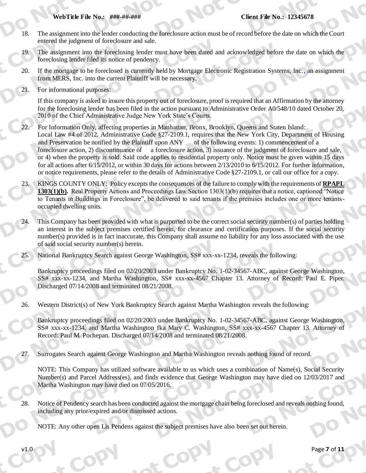#### **Client File No.: 12345678**

- 18. The assignment into the lender conducting the foreclosure action must be of record before the date on which the Court entered the judgment of foreclosure and sale.
- The assignment into the foreclosing lender must have been dated and acknowledged before the date on which the  $19.$ foreclosing lender filed its notice of pendency.
- If the mortgage to be foreclosed is currently held by Mortgage Electronic Registration Systems, Inc., an assignment 20. from MERS, Inc. into the current Plaintiff will be necessary.
- 21. For informational purposes:

If this company is asked to insure this property out of foreclosure, proof is required that an Affirmation by the attorney for the foreclosing lender has been filed in the action pursuant to Administrative Order A0/548/10 dated October 20, 2010 of the Chief Administrative Judge New York State's Courts.

- $22 -$ For Information Only, affecting properties in Manhattan, Bronx, Brooklyn, Queens and Staten Island: Local Law #4 of 2012, Administrative Code §27-2109.1, requires that the New York City, Department of Housing and Preservation be notified by the Plaintiff upon ANY of the following events: 1) commencement of a foreclosure action, 2) discontinuance of a foreclosure action, 3) issuance of the judgment of foreclosure and sale, or 4) when the property is sold. Said code applies to residential property only. Notice must be given within 15 days for all actions after  $6/15/2012$ , or within 30 days for actions between  $2/13/2010$  to  $6/15/2012$ . For further information, or notice requirements, please refer to the details of Administrative Code §27-2109.1, or call our office for a copy.
- KINGS COUNTY ONLY: Policy excepts the consequences of the failure to comply with the requirements of RPAPL 1303(1)(b). Real Property Actions and Proceedings Law Section  $1303(1)(b)$  requires that a notice, captioned "Notice" to Tenants in Buildings in Foreclosure", be delivered to said tenants if the premises includes one or more tenantsoccupied dwelling units.
- This Company has been provided with what is purported to be the correct social security number(s) of parties holding an interest in the subject premises certified herein, for clearance and certification purposes. If the social security number(s) provided is in fact inaccurate, this Company shall assume no liability for any loss associated with the use of said social security number(s) herein.
- 25. National Bankruptcy Search against George Washington, SS# xxx-xx-1234, reveals the following:

Bankruptcy proceedings filed on 02/20/2003 under Bankruptcy No. 1-02-34567-ABC, against George Washington, SS# xxx-xx-1234, and Martha Washington, SS# xxx-xx-4567 Chapter 13. Attorney of Record: Paul E. Piper. Discharged 07/14/2008 and terminated 08/21/2008.

26. Western District(s) of New York Bankruptcy Search against Martha Washington reveals the following:

Bankruptcy proceedings filed on 02/20/2003 under Bankruptcy No. 1-02-34567-ABC, against George Washington, SS# xxx-xx-1234, and Martha Washington fka Mary C. Washington, SS# xxx-xx-4567 Chapter 13. Attorney of Record: Paul M. Pochepan. Discharged 07/14/2008 and terminated 08/21/2008.

Surrogates Search against George Washington and Martha Washington reveals nothing found of record.

NOTE: This Company has utilized software available to us which uses a combination of Name(s), Social Security Number(s) and Parcel Address(es), and finds evidence that George Washington may have died on 12/03/2017 and Martha Washington may have died on 07/05/2016.

Notice of Pendency search has been conducted against the mortgage chain being foreclosed and reveals nothing found, 28. including any prior/expired and/or dismissed actions.

NOTE: Any other open Lis Pendens against the subject premises have also been set out herein.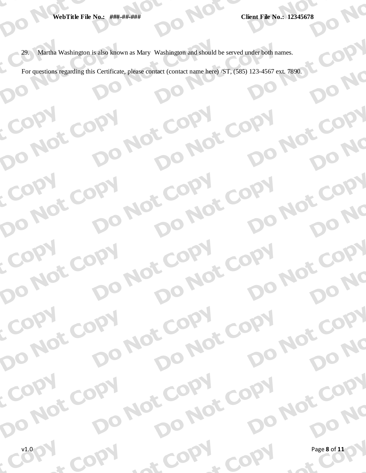DO

DO

COPY

COPY

COPY

COPY

DO NOT COPY

DO NOT COPY

DO NOT COPY

DO NOT COPY

DO NOT COPY

LCOON

ECOPY

DO NC

DONC

DO NC

DONC

DO NC

DO NOT COPY

DO NOT COPY

DO NOT COPY

DO NOT COPY

DO NOT COPY

 $\sim$ 

29. Martha Washington is also known as Mary Washington and should be served under both names.

DO NOT COPY

DO NOT COPY

DO NOT COPY

DO NOT COPY

DO NOT COPY

LACODY

 $Q_{\mathcal{L}}$ 

For questions regarding this Certificate, please contact (contact name here) /ST, (585) 123-4567 ext. 7890.

DO NOT

DO NOT COPY

DO NOT COPY

DO NOT COPY

DO NOT COPY

DO NOT COPY

LCOON

COPY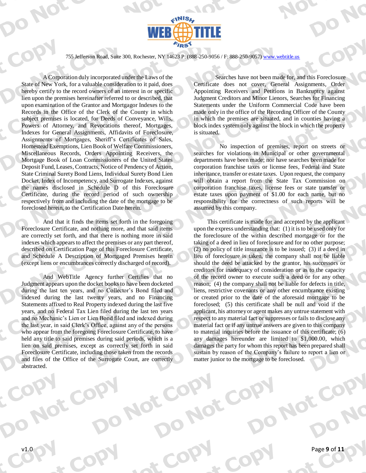

755 Jefferson Road, Suite 300, Rochester, NY 14623 P: (888-250-9056 / F: 888-250-9057) www.webtitle.us

A Corporation duly incorporated under the Laws of the State of New York, for a valuable consideration to it paid, does hereby certify to the record owners of an interest in or specific lien upon the premises hereinafter referred to or described, that upon examination of the Grantor and Mortgagor Indexes to the Records in the Office of the Clerk of the County in which subject premises is located, for Deeds of Conveyance, Wills, Powers of Attorney, and Revocations thereof, Mortgages, Indexes for General Assignments, Affidavits of Foreclosure, Assignments of Mortgages, Sheriff's Certificates of Sales, Homestead Exemptions, Lien Book of Welfare Commissioners, Miscellaneous Records, Orders Appointing Receivers, the Mortgage Book of Loan Commissioners of the United States Deposit Fund, Leases, Contracts, Notice of Pendency of Action, State Criminal Surety Bond Liens, Individual Surety Bond Lien Docket, Index of Incompetency, and Surrogate Indexes, against the names disclosed in Schedule D of this Foreclosure Certificate, during the record period of such ownership respectively from and including the date of the mortgage to be foreclosed herein, to the Certification Date herein.

And that it finds the items set forth in the foregoing Foreclosure Certificate, and nothing more, and that said items are correctly set forth, and that there is nothing more in said indexes which appears to affect the premises or any part thereof, described on Certification Page of this Foreclosure Certificate, and Schedule A Description of Mortgaged Premises herein (except liens or encumbrances correctly discharged of record).

And WebTitle Agency further Certifies that no Judgment appears upon the docket books to have been docketed during the last ten years, and no Collector's Bond filed and indexed during the last twenty years, and no Financing Statements affixed to Real Property indexed during the last five years, and no Federal Tax Lien filed during the last ten years and no Mechanic's Lien or Lien Bond filed and indexed during the last year, in said Clerk's Office, against any of the persons who appear from the foregoing Foreclosure Certificate, to have held any title to said premises during said periods, which is a lien on said premises, except as correctly set forth in said Foreclosure Certificate, including those taken from the records and files of the Office of the Surrogate Court, are correctly abstracted.

Searches have not been made for, and this Foreclosure Certificate does not cover, General Assignments, Order Appointing Receivers and Petitions in Bankruptcy against Judgment Creditors and Minor Lienors, Searches for Financing Statements under the Uniform Commercial Code have been made only in the office of the Recording Officer of the County in which the premises are situated, and in counties having a block index system only against the block in which the property is situated.

No inspection of premises, report on streets or searches for violations in Municipal or other governmental departments have been made; nor have searches been made for corporation franchise taxes or license fees, Federal and State inheritance, transfer or estate taxes. Upon request, the company will obtain a report from the State Tax Commission on corporation franchise taxes, license fees or state transfer or estate taxes upon payment of \$1.00 for each name, but no responsibility for the correctness of such reports will be assumed by this company.

This certificate is made for and accepted by the applicant upon the express understanding that:  $(1)$  it is to be used only for the foreclosure of the within described mortgage or for the taking of a deed in lieu of foreclosure and for no other purpose;  $(2)$  no policy of title insurance is to be issued; (3) if a deed in lieu of foreclosure is taken, the company shall not be liable should the deed be attacked by the grantor, his successors or creditors for inadequacy of consideration or as to the capacity of the record owner to execute such a deed or for any other reason: (4) the company shall not be liable for defects in title. liens, restrictive covenants or any other encumbrance existing or created prior to the date of the aforesaid mortgage to be foreclosed; (5) this certificate shall be null and void if the applicant, his attorney or agent makes any untrue statement with respect to any material fact or suppresses or fails to disclose any material fact or if any untrue answers are given to this company to material inquiries before the issuance of this certificate;  $(6)$ any damages hereunder are limited to \$1,000.00, which damages the party for whom this report has been prepared shall sustain by reason of the Company's failure to report a lien or matter junior to the mortgage to be foreclosed.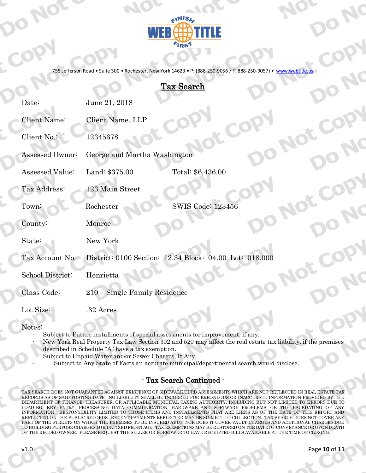

755 Jefferson Road . Suite 300 . Rochester, New York 14623 . P: (888-250-9056 / F: 888-250-9057) www.webtitle.us

# **Tax Search**

| Date:            | June 21, 2018                                                           |                          |  |
|------------------|-------------------------------------------------------------------------|--------------------------|--|
| Client Name:     | Client Name, LLP.                                                       |                          |  |
| Client No.:      | 12345678                                                                |                          |  |
| Assessed Owner:  | George and Martha Washington                                            |                          |  |
| Assessed Value:  | Land: \$375.00                                                          | Total: \$6,436.00        |  |
| Tax Address:     | 123 Main Street                                                         |                          |  |
| Town:            | Rochester                                                               | <b>SWIS Code: 123456</b> |  |
| County:          | Monroe                                                                  |                          |  |
| State:           | New York                                                                |                          |  |
|                  | Tax Account No. District: 0100 Section: 12.34 Block: 04.00 Lot: 018.000 |                          |  |
| School District: | Henrietta                                                               |                          |  |
| Class Code:      | 210 - Single Family Residence                                           |                          |  |
| Lot Size:        | .32 Acres                                                               |                          |  |

Notes:

- Subject to Future installments of special assessments for improvement, if any.
- New York Real Property Tax Law Section 302 and 520 may affect the real estate tax liability, if the premises described in Schedule "A" have a tax exemption.
- Subject to Unpaid Water and/or Sewer Charges, If Any.
	- Subject to Any State of Facts an accurate municipal/departmental search would disclose.

## - Tax Search Continued -

TAX SEARCH DOES NOT GUARANTEE AGAINST EXISTENCE OF SIDEWALK/CURB ASSESSMENTS WHICH ARE NOT REFLECTED IN REAL ESTATE TAX RECORDS AS OF SAID POSTING DATE. NO LIABILITY SHALL BE INCURRED FOR ERRONEOUS OR INACCURATE INFORMATION PROVIDED BY THE DEPARTMENT OF FINANCE, TREASURER, OR APPLICABLE MUNICIPAL TAXING AUTHORITY, INCLUDING BUT NOT LIMITED TO ERRORS DUE TO LOADING, KEY ENTRY, PROCESSING, DATA COMMUNICATION, HARDWARE AND SOFTWARE PROBLEMS, OR THE BACKDATING OF ANY INFORMATION. ILLOADING AND SOFTWARE PROBLEMS, OR THE BACKDATING OF ANY REFLECTED ON THE PUBLIC RECORDS. RECENT PAYMENTS REFLECTED MAY BE SUBJECT TO COLLECTION. TAX SEARCH DOES NOT COVER ANY PART OF THE STREETS ON WHICH THE PREMISES TO BE INSURED ABUT; NOR DOES IT COVER VAULT CHARGES AND ADDITIONAL CHARGES DUE TO BUILDING PURPOSE CHARGES FOR UNFIXED FRONTAGE. TAX EXEMPTIONS MAY BE RESTORED ON THE DATE OF CONVEYANCE OR UPON DEATH OF THE RECORD OWNER. PLEASE REQUEST THE SELLER OR BORROWER TO HAVE RECEIPTED BILLS AVAILABLE AT THE TIME OF CLOSING.